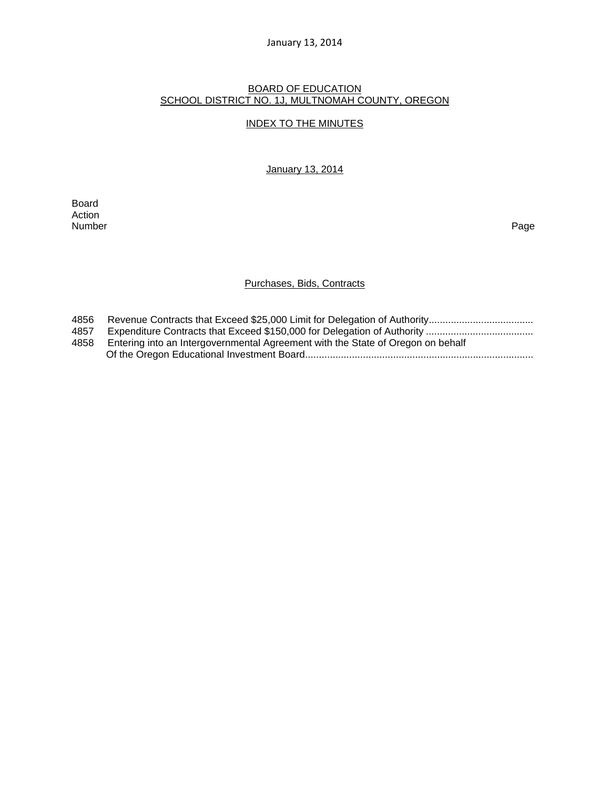#### January 13, 2014

#### BOARD OF EDUCATION SCHOOL DISTRICT NO. 1J, MULTNOMAH COUNTY, OREGON

## INDEX TO THE MINUTES

January 13, 2014

Board Action<br>Number Number Page

# Purchases, Bids, Contracts

| 4856 |                                                                                 |
|------|---------------------------------------------------------------------------------|
| 4857 |                                                                                 |
| 4858 | Entering into an Intergovernmental Agreement with the State of Oregon on behalf |
|      |                                                                                 |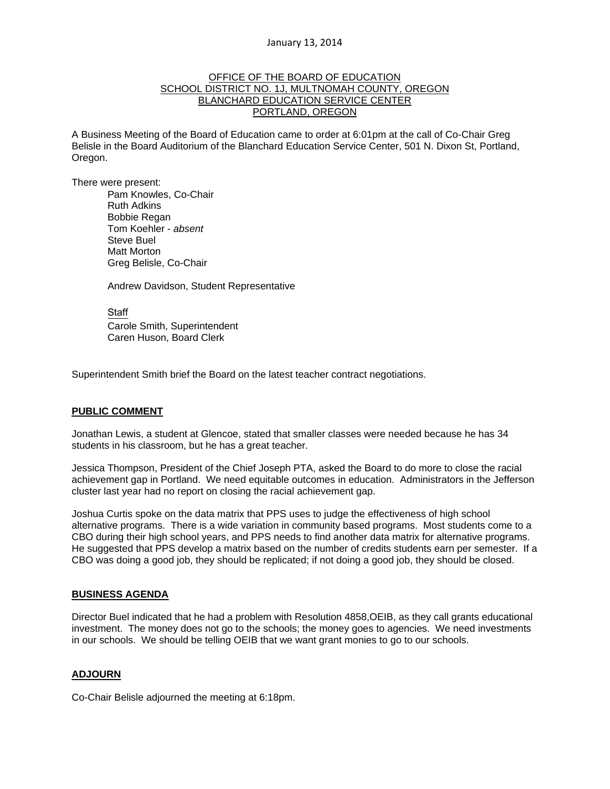### OFFICE OF THE BOARD OF EDUCATION SCHOOL DISTRICT NO. 1J, MULTNOMAH COUNTY, OREGON BLANCHARD EDUCATION SERVICE CENTER PORTLAND, OREGON

A Business Meeting of the Board of Education came to order at 6:01pm at the call of Co-Chair Greg Belisle in the Board Auditorium of the Blanchard Education Service Center, 501 N. Dixon St, Portland, Oregon.

There were present: Pam Knowles, Co-Chair

Ruth Adkins Bobbie Regan Tom Koehler - *absent* Steve Buel Matt Morton Greg Belisle, Co-Chair

Andrew Davidson, Student Representative

Staff Carole Smith, Superintendent Caren Huson, Board Clerk

Superintendent Smith brief the Board on the latest teacher contract negotiations.

#### **PUBLIC COMMENT**

Jonathan Lewis, a student at Glencoe, stated that smaller classes were needed because he has 34 students in his classroom, but he has a great teacher.

Jessica Thompson, President of the Chief Joseph PTA, asked the Board to do more to close the racial achievement gap in Portland. We need equitable outcomes in education. Administrators in the Jefferson cluster last year had no report on closing the racial achievement gap.

Joshua Curtis spoke on the data matrix that PPS uses to judge the effectiveness of high school alternative programs. There is a wide variation in community based programs. Most students come to a CBO during their high school years, and PPS needs to find another data matrix for alternative programs. He suggested that PPS develop a matrix based on the number of credits students earn per semester. If a CBO was doing a good job, they should be replicated; if not doing a good job, they should be closed.

#### **BUSINESS AGENDA**

Director Buel indicated that he had a problem with Resolution 4858,OEIB, as they call grants educational investment. The money does not go to the schools; the money goes to agencies. We need investments in our schools. We should be telling OEIB that we want grant monies to go to our schools.

## **ADJOURN**

Co-Chair Belisle adjourned the meeting at 6:18pm.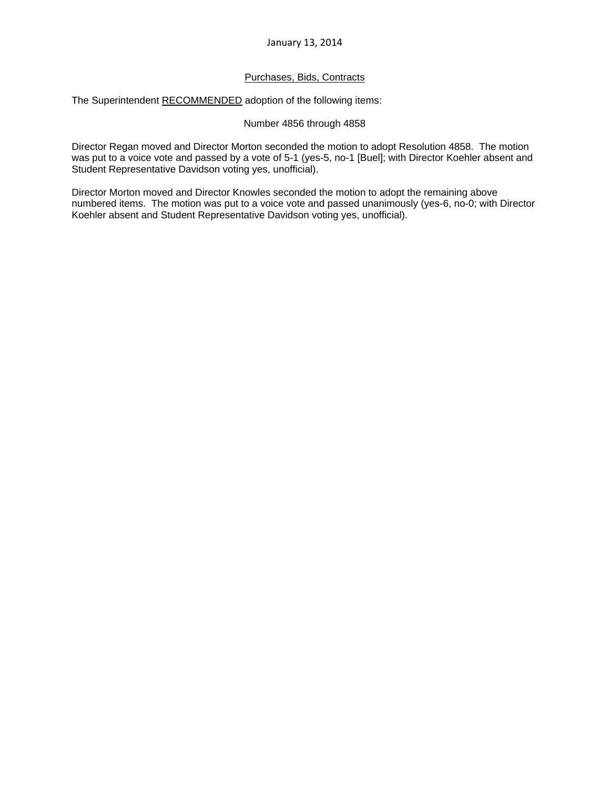## Purchases, Bids, Contracts

The Superintendent RECOMMENDED adoption of the following items:

## Number 4856 through 4858

Director Regan moved and Director Morton seconded the motion to adopt Resolution 4858. The motion was put to a voice vote and passed by a vote of 5-1 (yes-5, no-1 [Buel]; with Director Koehler absent and Student Representative Davidson voting yes, unofficial).

Director Morton moved and Director Knowles seconded the motion to adopt the remaining above numbered items. The motion was put to a voice vote and passed unanimously (yes-6, no-0; with Director Koehler absent and Student Representative Davidson voting yes, unofficial).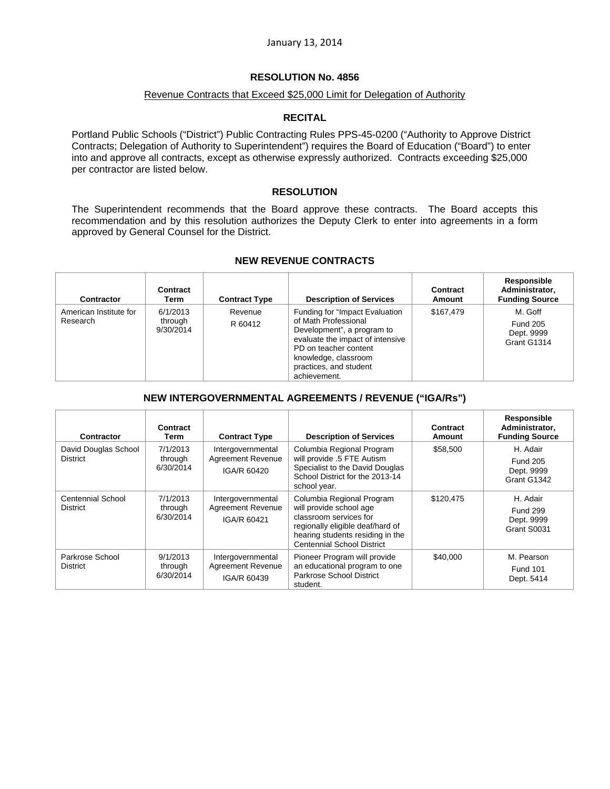## **RESOLUTION No. 4856**

## Revenue Contracts that Exceed \$25,000 Limit for Delegation of Authority

## **RECITAL**

Portland Public Schools ("District") Public Contracting Rules PPS-45-0200 ("Authority to Approve District Contracts; Delegation of Authority to Superintendent") requires the Board of Education ("Board") to enter into and approve all contracts, except as otherwise expressly authorized. Contracts exceeding \$25,000 per contractor are listed below.

## **RESOLUTION**

The Superintendent recommends that the Board approve these contracts. The Board accepts this recommendation and by this resolution authorizes the Deputy Clerk to enter into agreements in a form approved by General Counsel for the District.

| Contractor                         | Contract<br>Term                 | <b>Contract Type</b> | <b>Description of Services</b>                                                                                                                                                                                       | Contract<br><b>Amount</b> | Responsible<br>Administrator.<br><b>Funding Source</b>  |
|------------------------------------|----------------------------------|----------------------|----------------------------------------------------------------------------------------------------------------------------------------------------------------------------------------------------------------------|---------------------------|---------------------------------------------------------|
| American Institute for<br>Research | 6/1/2013<br>through<br>9/30/2014 | Revenue<br>R 60412   | Funding for "Impact Evaluation"<br>of Math Professional<br>Development", a program to<br>evaluate the impact of intensive<br>PD on teacher content<br>knowledge, classroom<br>practices, and student<br>achievement. | \$167,479                 | M. Goff<br><b>Fund 205</b><br>Dept. 9999<br>Grant G1314 |

#### **NEW REVENUE CONTRACTS**

### **NEW INTERGOVERNMENTAL AGREEMENTS / REVENUE ("IGA/Rs")**

| <b>Contractor</b>                       | Contract<br>Term                 | <b>Contract Type</b>                                         | <b>Description of Services</b>                                                                                                                                                              | Contract<br>Amount | Responsible<br>Administrator.<br><b>Funding Source</b>   |
|-----------------------------------------|----------------------------------|--------------------------------------------------------------|---------------------------------------------------------------------------------------------------------------------------------------------------------------------------------------------|--------------------|----------------------------------------------------------|
| David Douglas School<br><b>District</b> | 7/1/2013<br>through<br>6/30/2014 | Intergovernmental<br><b>Agreement Revenue</b><br>IGA/R 60420 | Columbia Regional Program<br>will provide .5 FTE Autism<br>Specialist to the David Douglas<br>School District for the 2013-14<br>school year.                                               | \$58,500           | H. Adair<br><b>Fund 205</b><br>Dept. 9999<br>Grant G1342 |
| Centennial School<br><b>District</b>    | 7/1/2013<br>through<br>6/30/2014 | Intergovernmental<br><b>Agreement Revenue</b><br>IGA/R 60421 | Columbia Regional Program<br>will provide school age<br>classroom services for<br>regionally eligible deaf/hard of<br>hearing students residing in the<br><b>Centennial School District</b> | \$120.475          | H. Adair<br><b>Fund 299</b><br>Dept. 9999<br>Grant S0031 |
| Parkrose School<br><b>District</b>      | 9/1/2013<br>through<br>6/30/2014 | Intergovernmental<br><b>Agreement Revenue</b><br>IGA/R 60439 | Pioneer Program will provide<br>an educational program to one<br>Parkrose School District<br>student.                                                                                       | \$40,000           | M. Pearson<br><b>Fund 101</b><br>Dept. 5414              |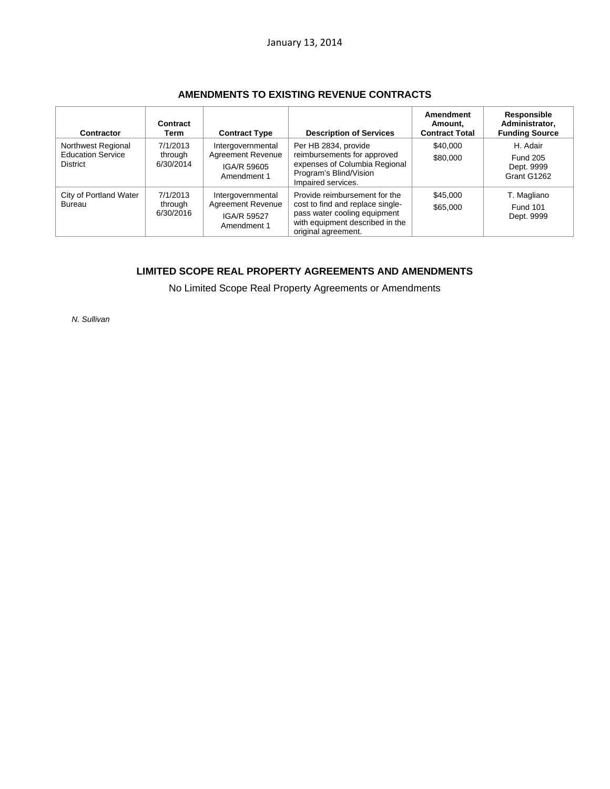| Contractor                                                        | Contract<br>Term                 | <b>Contract Type</b>                                                        | <b>Description of Services</b>                                                                                                                              | Amendment<br>Amount.<br><b>Contract Total</b> | Responsible<br>Administrator,<br><b>Funding Source</b>   |
|-------------------------------------------------------------------|----------------------------------|-----------------------------------------------------------------------------|-------------------------------------------------------------------------------------------------------------------------------------------------------------|-----------------------------------------------|----------------------------------------------------------|
| Northwest Regional<br><b>Education Service</b><br><b>District</b> | 7/1/2013<br>through<br>6/30/2014 | Intergovernmental<br><b>Agreement Revenue</b><br>IGA/R 59605<br>Amendment 1 | Per HB 2834, provide<br>reimbursements for approved<br>expenses of Columbia Regional<br>Program's Blind/Vision<br>Impaired services.                        | \$40,000<br>\$80,000                          | H. Adair<br><b>Fund 205</b><br>Dept. 9999<br>Grant G1262 |
| City of Portland Water<br><b>Bureau</b>                           | 7/1/2013<br>through<br>6/30/2016 | Intergovernmental<br>Agreement Revenue<br><b>IGA/R 59527</b><br>Amendment 1 | Provide reimbursement for the<br>cost to find and replace single-<br>pass water cooling equipment<br>with equipment described in the<br>original agreement. | \$45,000<br>\$65,000                          | T. Magliano<br><b>Fund 101</b><br>Dept. 9999             |

## **LIMITED SCOPE REAL PROPERTY AGREEMENTS AND AMENDMENTS**

No Limited Scope Real Property Agreements or Amendments

*N. Sullivan*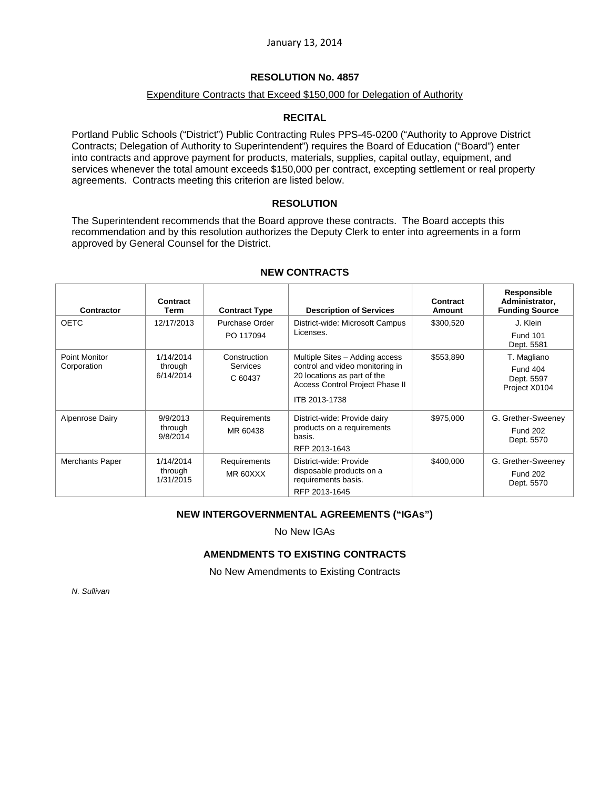## **RESOLUTION No. 4857**

## Expenditure Contracts that Exceed \$150,000 for Delegation of Authority

## **RECITAL**

Portland Public Schools ("District") Public Contracting Rules PPS-45-0200 ("Authority to Approve District Contracts; Delegation of Authority to Superintendent") requires the Board of Education ("Board") enter into contracts and approve payment for products, materials, supplies, capital outlay, equipment, and services whenever the total amount exceeds \$150,000 per contract, excepting settlement or real property agreements. Contracts meeting this criterion are listed below.

## **RESOLUTION**

The Superintendent recommends that the Board approve these contracts. The Board accepts this recommendation and by this resolution authorizes the Deputy Clerk to enter into agreements in a form approved by General Counsel for the District.

| <b>Contractor</b>      | Contract<br>Term                  | <b>Contract Type</b>                       | <b>Description of Services</b>                                                                                                      | Contract<br>Amount | Responsible<br>Administrator,<br><b>Funding Source</b> |
|------------------------|-----------------------------------|--------------------------------------------|-------------------------------------------------------------------------------------------------------------------------------------|--------------------|--------------------------------------------------------|
| <b>OETC</b>            | 12/17/2013                        | Purchase Order<br>PO 117094                | District-wide: Microsoft Campus<br>Licenses.                                                                                        | \$300,520          | J. Klein                                               |
|                        |                                   |                                            |                                                                                                                                     |                    | <b>Fund 101</b><br>Dept. 5581                          |
| <b>Point Monitor</b>   | 1/14/2014                         | Construction<br><b>Services</b><br>C 60437 | Multiple Sites - Adding access<br>control and video monitoring in<br>20 locations as part of the<br>Access Control Project Phase II | \$553,890          | T. Magliano                                            |
| Corporation            | through<br>6/14/2014              |                                            |                                                                                                                                     |                    | <b>Fund 404</b><br>Dept. 5597<br>Project X0104         |
|                        |                                   |                                            | ITB 2013-1738                                                                                                                       |                    |                                                        |
| Alpenrose Dairy        | 9/9/2013<br>through<br>9/8/2014   | Requirements<br>MR 60438                   | District-wide: Provide dairy<br>products on a requirements<br>basis.<br>RFP 2013-1643                                               | \$975,000          | G. Grether-Sweeney<br><b>Fund 202</b><br>Dept. 5570    |
| <b>Merchants Paper</b> | 1/14/2014<br>through<br>1/31/2015 | Requirements<br>MR 60XXX                   | District-wide: Provide<br>disposable products on a<br>requirements basis.<br>RFP 2013-1645                                          | \$400,000          | G. Grether-Sweeney<br><b>Fund 202</b><br>Dept. 5570    |

## **NEW CONTRACTS**

## **NEW INTERGOVERNMENTAL AGREEMENTS ("IGAs")**

No New IGAs

## **AMENDMENTS TO EXISTING CONTRACTS**

No New Amendments to Existing Contracts

*N. Sullivan*